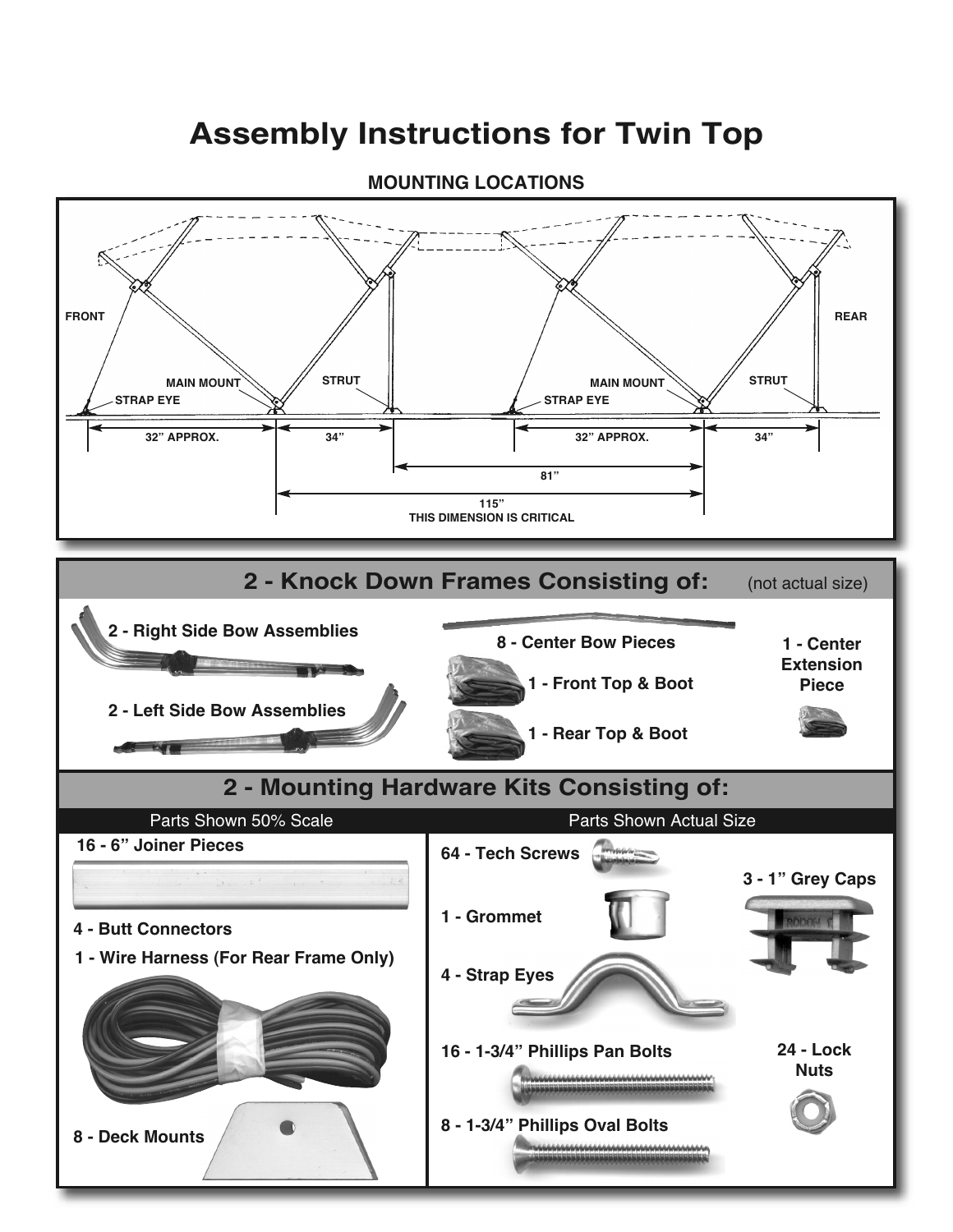## **Assembly Instructions for Twin Top**



#### **MOUNTING LOCATIONS**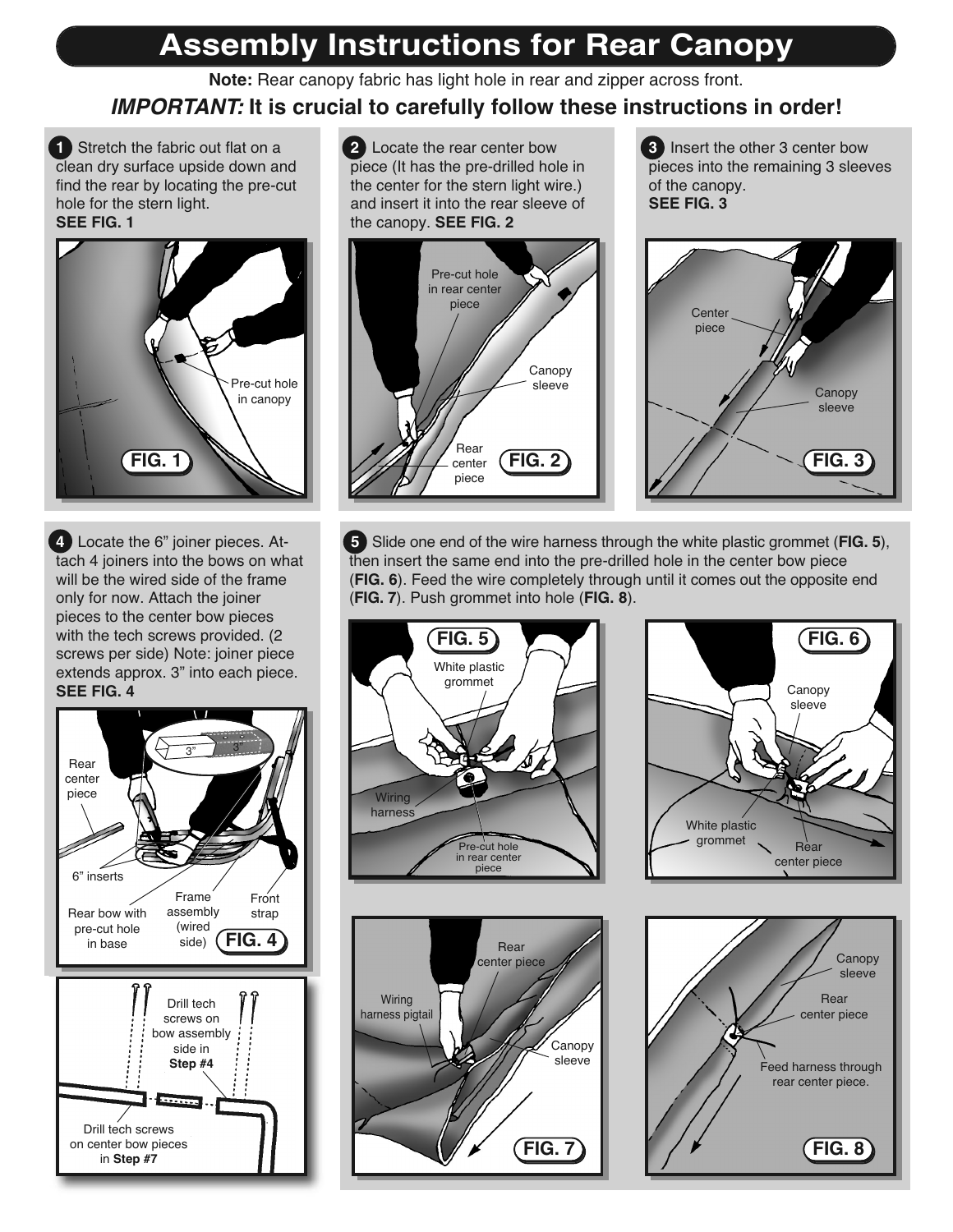# **Assembly Instructions for Rear Canopy**

**Note:** Rear canopy fabric has light hole in rear and zipper across front.

### **IMPORTANT: It is crucial to carefully follow these instructions in order!**

**1** Stretch the fabric out flat on a clean dry surface upside down and find the rear by locating the pre-cut hole for the stern light. **SEE FIG. 1**



**4** Locate the 6" joiner pieces. Attach 4 joiners into the bows on what will be the wired side of the frame only for now. Attach the joiner pieces to the center bow pieces with the tech screws provided. (2 screws per side) Note: joiner piece extends approx. 3" into each piece. **SEE FIG. 4**



**2** Locate the rear center bow piece (It has the pre-drilled hole in the center for the stern light wire.) and insert it into the rear sleeve of the canopy. **SEE FIG. 2**



**3** Insert the other 3 center bow pieces into the remaining 3 sleeves of the canopy. **SEE FIG. 3**



**5** Slide one end of the wire harness through the white plastic grommet (**FIG. 5**), then insert the same end into the pre-drilled hole in the center bow piece (**FIG. 6**). Feed the wire completely through until it comes out the opposite end (**FIG. 7**). Push grommet into hole (**FIG. 8**).